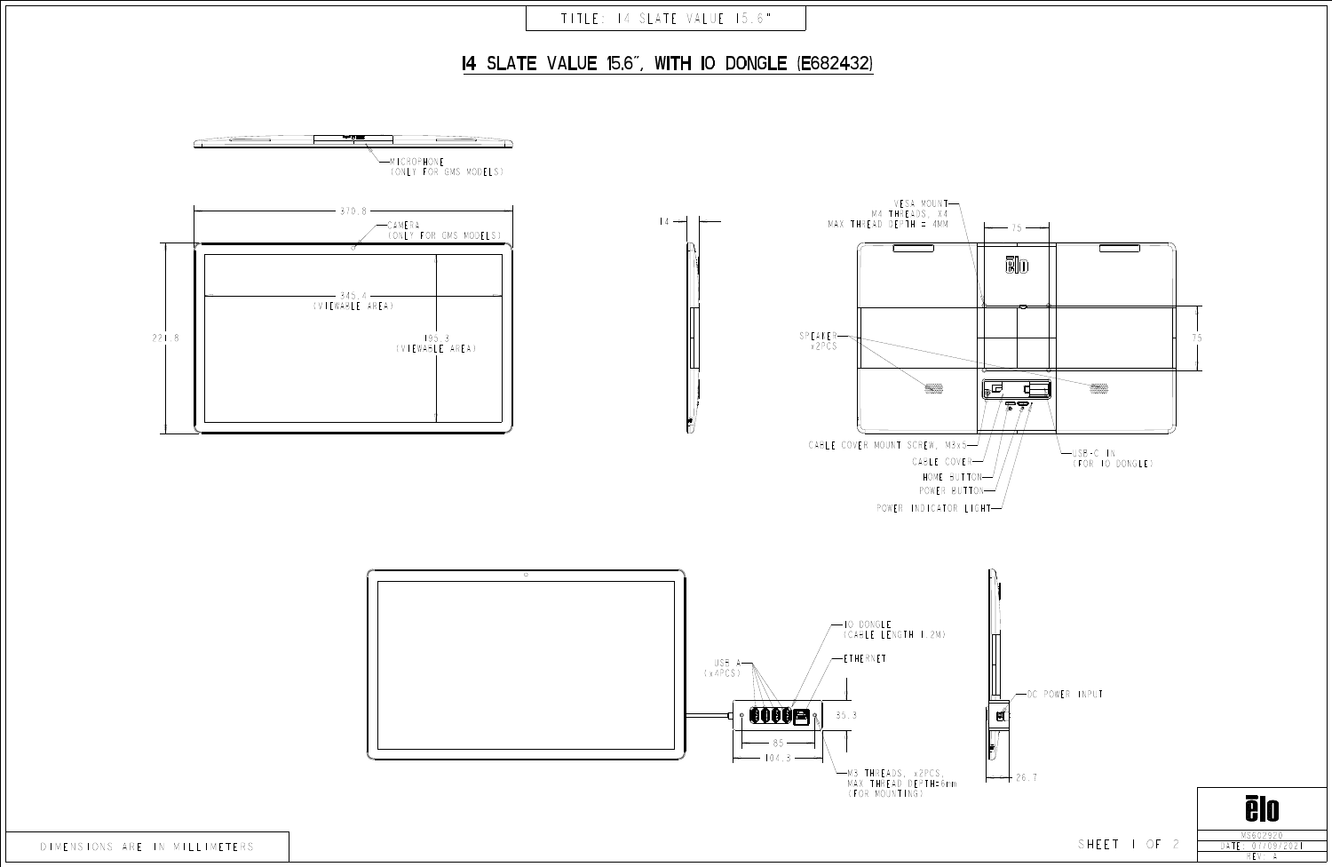







| DIMENSIONS ARE IN MILLIMETERS |  |
|-------------------------------|--|
|-------------------------------|--|

## I4 SLATE VALUE 15.6", WITH IO DONGLE (E682432)